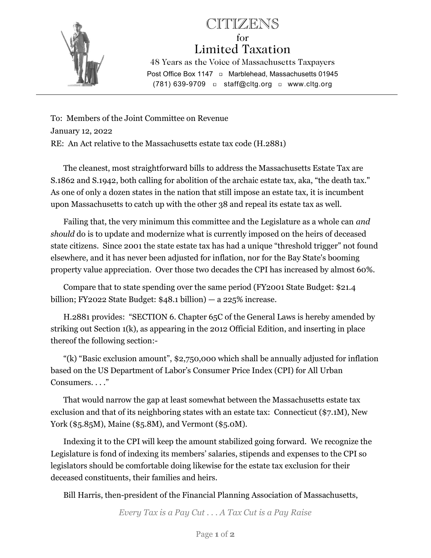

## CITIZENS for Limited Taxation 48 Years as the Voice of Massachusetts Taxpayers Post Office Box 1147 **D** Marblehead, Massachusetts 01945 (781) 639-9709 staff@cltg.org www.cltg.org

To: Members of the Joint Committee on Revenue January 12, 2022 RE: An Act relative to the Massachusetts estate tax code (H.2881)

 The cleanest, most straightforward bills to address the Massachusetts Estate Tax are S.1862 and S.1942, both calling for abolition of the archaic estate tax, aka, "the death tax." As one of only a dozen states in the nation that still impose an estate tax, it is incumbent upon Massachusetts to catch up with the other 38 and repeal its estate tax as well.

 Failing that, the very minimum this committee and the Legislature as a whole can and should do is to update and modernize what is currently imposed on the heirs of deceased state citizens. Since 2001 the state estate tax has had a unique "threshold trigger" not found elsewhere, and it has never been adjusted for inflation, nor for the Bay State's booming property value appreciation. Over those two decades the CPI has increased by almost 60%.

 Compare that to state spending over the same period (FY2001 State Budget: \$21.4 billion; FY2022 State Budget:  $$48.1$  billion)  $-$  a 225% increase.

 H.2881 provides: "SECTION 6. Chapter 65C of the General Laws is hereby amended by striking out Section 1(k), as appearing in the 2012 Official Edition, and inserting in place thereof the following section:-

 "(k) "Basic exclusion amount", \$2,750,000 which shall be annually adjusted for inflation based on the US Department of Labor's Consumer Price Index (CPI) for All Urban Consumers. . . ."

 That would narrow the gap at least somewhat between the Massachusetts estate tax exclusion and that of its neighboring states with an estate tax: Connecticut (\$7.1M), New York (\$5.85M), Maine (\$5.8M), and Vermont (\$5.0M).

 Indexing it to the CPI will keep the amount stabilized going forward. We recognize the Legislature is fond of indexing its members' salaries, stipends and expenses to the CPI so legislators should be comfortable doing likewise for the estate tax exclusion for their deceased constituents, their families and heirs.

Bill Harris, then-president of the Financial Planning Association of Massachusetts,

Every Tax is a Pay Cut . . . A Tax Cut is a Pay Raise